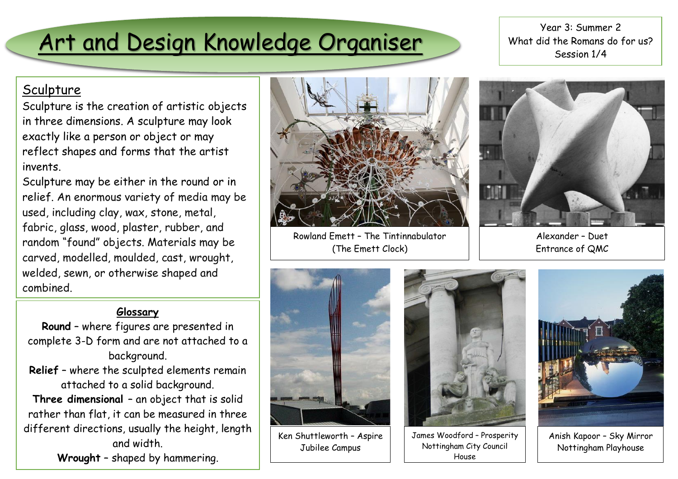# Art and Design Knowledge Organiser

Year 3: Summer 2 What did the Romans do for us? Session 1/4

### **Sculpture**

Sculpture is the creation of artistic objects in three dimensions. A sculpture may look exactly like a person or object or may reflect shapes and forms that the artist invents.

Sculpture may be either in the round or in relief. An enormous variety of media may be used, including clay, wax, stone, metal, fabric, glass, wood, plaster, rubber, and random "found" objects. Materials may be carved, modelled, moulded, cast, wrought, welded, sewn, or otherwise shaped and combined.

#### **Glossary**

- **Round** where figures are presented in complete 3-D form and are not attached to a background.
- **Relief** where the sculpted elements remain attached to a solid background.

**Three dimensional** – an object that is solid rather than flat, it can be measured in three different directions, usually the height, length and width.

**Wrought** – shaped by hammering.



Rowland Emett – The Tintinnabulator (The Emett Clock)



Alexander – Duet Entrance of QMC



Ken Shuttleworth – Aspire Jubilee Campus



James Woodford – Prosperity Nottingham City Council House



Anish Kapoor – Sky Mirror Nottingham Playhouse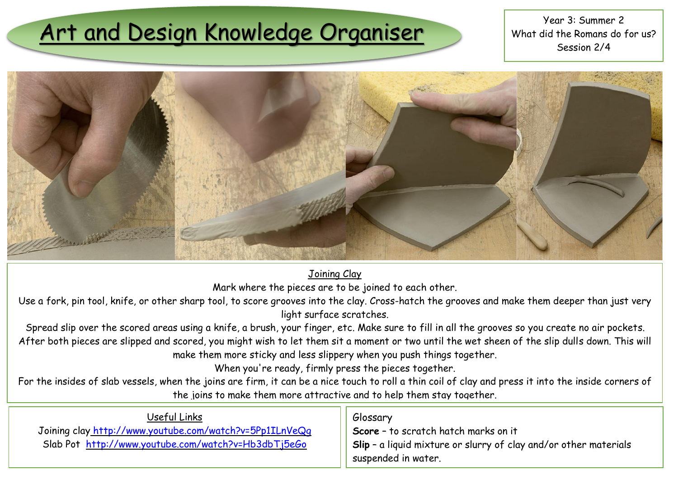# Art and Design Knowledge Organiser What did the Romans do

What did the Romans do for us? Session 2/4



Joining Clay

Mark where the pieces are to be joined to each other.

Use a fork, pin tool, knife, or other sharp tool, to score grooves into the clay. Cross-hatch the grooves and make them deeper than just very light surface scratches.

Spread slip over the scored areas using a knife, a brush, your finger, etc. Make sure to fill in all the grooves so you create no air pockets. After both pieces are slipped and scored, you might wish to let them sit a moment or two until the wet sheen of the slip dulls down. This will make them more sticky and less slippery when you push things together.

When you're ready, firmly press the pieces together.

For the insides of slab vessels, when the joins are firm, it can be a nice touch to roll a thin coil of clay and press it into the inside corners of the joins to make them more attractive and to help them stay together.

| Useful Links                                            | , Glossary                                                                                |
|---------------------------------------------------------|-------------------------------------------------------------------------------------------|
| Joining clay http://www.youtube.com/watch?v=5Pp1ILnVeQq | Score - to scratch hatch marks on it                                                      |
| Slab Pot http://www.youtube.com/watch?v=Hb3dbTj5eGo     | $\overline{\phantom{a}}$ Slip - a liquid mixture or slurry of clay and/or other materials |
|                                                         | suspended in water.                                                                       |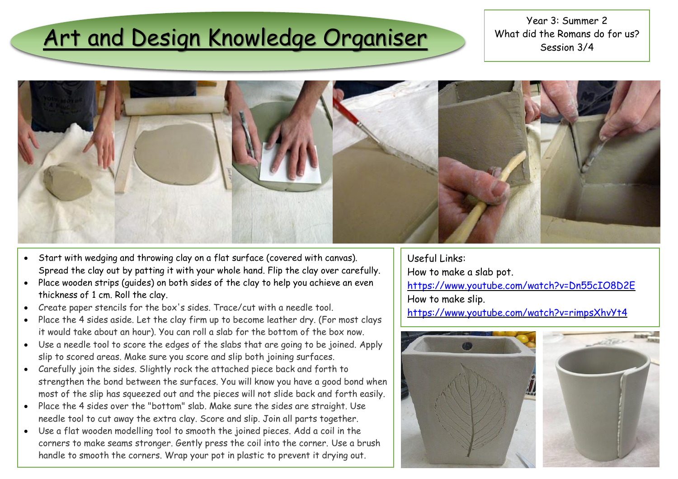## Art and Design Knowledge Organiser

Year 3: Summer 2 What did the Romans do for us? Session 3/4



- Start with wedging and throwing clay on a flat surface (covered with canvas). Spread the clay out by patting it with your whole hand. Flip the clay over carefully.
- Place wooden strips (guides) on both sides of the clay to help you achieve an even thickness of 1 cm. Roll the clay.
- Create paper stencils for the box's sides. Trace/cut with a needle tool.
- Place the 4 sides aside. Let the clay firm up to become leather dry. (For most clays it would take about an hour). You can roll a slab for the bottom of the box now.
- Use a needle tool to score the edges of the slabs that are going to be joined. Apply slip to scored areas. Make sure you score and slip both joining surfaces.
- Carefully join the sides. Slightly rock the attached piece back and forth to strengthen the bond between the surfaces. You will know you have a good bond when most of the slip has squeezed out and the pieces will not slide back and forth easily.
- Place the 4 sides over the "bottom" slab. Make sure the sides are straight. Use needle tool to cut away the extra clay. Score and slip. Join all parts together.
- Use a flat wooden modelling tool to smooth the joined pieces. Add a coil in the corners to make seams stronger. Gently press the coil into the corner. Use a brush handle to smooth the corners. Wrap your pot in plastic to prevent it drying out.

Useful Links: How to make a slab pot. <https://www.youtube.com/watch?v=Dn55cIO8D2E> How to make slip. <https://www.youtube.com/watch?v=rimpsXhvYt4>